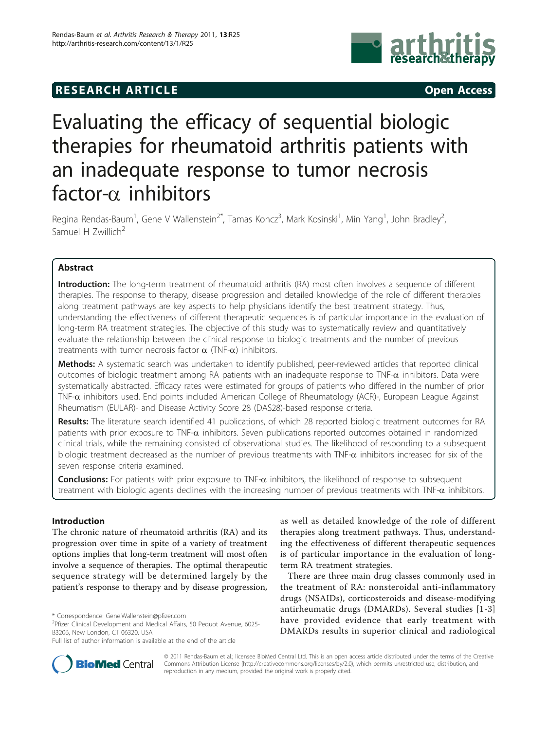## **RESEARCH ARTICLE Example 2014 CONSUMING ACCESS**



# Evaluating the efficacy of sequential biologic therapies for rheumatoid arthritis patients with an inadequate response to tumor necrosis factor- $\alpha$  inhibitors

Regina Rendas-Baum<sup>1</sup>, Gene V Wallenstein<sup>2\*</sup>, Tamas Koncz<sup>3</sup>, Mark Kosinski<sup>1</sup>, Min Yang<sup>1</sup>, John Bradley<sup>2</sup> , Samuel H Zwillich<sup>2</sup>

## Abstract

Introduction: The long-term treatment of rheumatoid arthritis (RA) most often involves a sequence of different therapies. The response to therapy, disease progression and detailed knowledge of the role of different therapies along treatment pathways are key aspects to help physicians identify the best treatment strategy. Thus, understanding the effectiveness of different therapeutic sequences is of particular importance in the evaluation of long-term RA treatment strategies. The objective of this study was to systematically review and quantitatively evaluate the relationship between the clinical response to biologic treatments and the number of previous treatments with tumor necrosis factor  $\alpha$  (TNF- $\alpha$ ) inhibitors.

Methods: A systematic search was undertaken to identify published, peer-reviewed articles that reported clinical outcomes of biologic treatment among RA patients with an inadequate response to TNF- $\alpha$  inhibitors. Data were systematically abstracted. Efficacy rates were estimated for groups of patients who differed in the number of prior TNF- $\alpha$  inhibitors used. End points included American College of Rheumatology (ACR)-, European League Against Rheumatism (EULAR)- and Disease Activity Score 28 (DAS28)-based response criteria.

Results: The literature search identified 41 publications, of which 28 reported biologic treatment outcomes for RA patients with prior exposure to TNF- $\alpha$  inhibitors. Seven publications reported outcomes obtained in randomized clinical trials, while the remaining consisted of observational studies. The likelihood of responding to a subsequent biologic treatment decreased as the number of previous treatments with TNF- $\alpha$  inhibitors increased for six of the seven response criteria examined.

**Conclusions:** For patients with prior exposure to TNF- $\alpha$  inhibitors, the likelihood of response to subsequent treatment with biologic agents declines with the increasing number of previous treatments with TNF- $\alpha$  inhibitors.

## Introduction

The chronic nature of rheumatoid arthritis (RA) and its progression over time in spite of a variety of treatment options implies that long-term treatment will most often involve a sequence of therapies. The optimal therapeutic sequence strategy will be determined largely by the patient's response to therapy and by disease progression,



There are three main drug classes commonly used in the treatment of RA: nonsteroidal anti-inflammatory drugs (NSAIDs), corticosteroids and disease-modifying antirheumatic drugs (DMARDs). Several studies [\[1-3](#page-12-0)] have provided evidence that early treatment with DMARDs results in superior clinical and radiological



© 2011 Rendas-Baum et al.; licensee BioMed Central Ltd. This is an open access article distributed under the terms of the Creative Commons Attribution License [\(http://creativecommons.org/licenses/by/2.0](http://creativecommons.org/licenses/by/2.0)), which permits unrestricted use, distribution, and reproduction in any medium, provided the original work is properly cited.

<sup>\*</sup> Correspondence: [Gene.Wallenstein@pfizer.com](mailto:Gene.Wallenstein@pfizer.com)

<sup>&</sup>lt;sup>2</sup>Pfizer Clinical Development and Medical Affairs, 50 Pequot Avenue, 6025-B3206, New London, CT 06320, USA

Full list of author information is available at the end of the article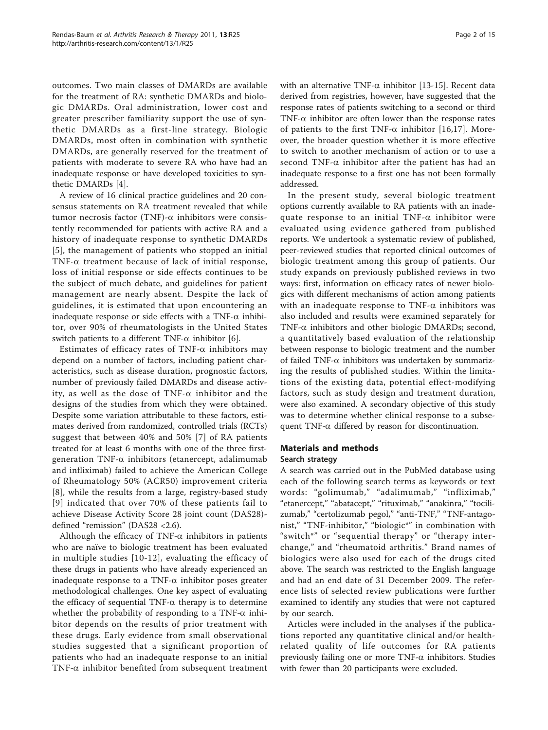outcomes. Two main classes of DMARDs are available for the treatment of RA: synthetic DMARDs and biologic DMARDs. Oral administration, lower cost and greater prescriber familiarity support the use of synthetic DMARDs as a first-line strategy. Biologic DMARDs, most often in combination with synthetic DMARDs, are generally reserved for the treatment of patients with moderate to severe RA who have had an inadequate response or have developed toxicities to synthetic DMARDs [\[4](#page-12-0)].

A review of 16 clinical practice guidelines and 20 consensus statements on RA treatment revealed that while tumor necrosis factor (TNF)- $\alpha$  inhibitors were consistently recommended for patients with active RA and a history of inadequate response to synthetic DMARDs [[5](#page-12-0)], the management of patients who stopped an initial TNF-a treatment because of lack of initial response, loss of initial response or side effects continues to be the subject of much debate, and guidelines for patient management are nearly absent. Despite the lack of guidelines, it is estimated that upon encountering an inadequate response or side effects with a TNF- $\alpha$  inhibitor, over 90% of rheumatologists in the United States switch patients to a different TNF- $\alpha$  inhibitor [\[6](#page-12-0)].

Estimates of efficacy rates of TNF- $\alpha$  inhibitors may depend on a number of factors, including patient characteristics, such as disease duration, prognostic factors, number of previously failed DMARDs and disease activity, as well as the dose of TNF- $\alpha$  inhibitor and the designs of the studies from which they were obtained. Despite some variation attributable to these factors, estimates derived from randomized, controlled trials (RCTs) suggest that between 40% and 50% [[7\]](#page-12-0) of RA patients treated for at least 6 months with one of the three firstgeneration TNF- $\alpha$  inhibitors (etanercept, adalimumab and infliximab) failed to achieve the American College of Rheumatology 50% (ACR50) improvement criteria [[8](#page-12-0)], while the results from a large, registry-based study [[9\]](#page-12-0) indicated that over 70% of these patients fail to achieve Disease Activity Score 28 joint count (DAS28) defined "remission" (DAS28 <2.6).

Although the efficacy of  $TNF-\alpha$  inhibitors in patients who are naïve to biologic treatment has been evaluated in multiple studies [[10-](#page-12-0)[12](#page-13-0)], evaluating the efficacy of these drugs in patients who have already experienced an inadequate response to a TNF- $\alpha$  inhibitor poses greater methodological challenges. One key aspect of evaluating the efficacy of sequential  $TNF-\alpha$  therapy is to determine whether the probability of responding to a TNF- $\alpha$  inhibitor depends on the results of prior treatment with these drugs. Early evidence from small observational studies suggested that a significant proportion of patients who had an inadequate response to an initial TNF- $\alpha$  inhibitor benefited from subsequent treatment with an alternative TNF- $\alpha$  inhibitor [[13-15\]](#page-13-0). Recent data derived from registries, however, have suggested that the response rates of patients switching to a second or third TNF- $\alpha$  inhibitor are often lower than the response rates of patients to the first TNF- $\alpha$  inhibitor [\[16](#page-13-0),[17\]](#page-13-0). Moreover, the broader question whether it is more effective to switch to another mechanism of action or to use a second TNF- $\alpha$  inhibitor after the patient has had an inadequate response to a first one has not been formally addressed.

In the present study, several biologic treatment options currently available to RA patients with an inadequate response to an initial  $TNF-\alpha$  inhibitor were evaluated using evidence gathered from published reports. We undertook a systematic review of published, peer-reviewed studies that reported clinical outcomes of biologic treatment among this group of patients. Our study expands on previously published reviews in two ways: first, information on efficacy rates of newer biologics with different mechanisms of action among patients with an inadequate response to TNF- $\alpha$  inhibitors was also included and results were examined separately for TNF- $\alpha$  inhibitors and other biologic DMARDs; second, a quantitatively based evaluation of the relationship between response to biologic treatment and the number of failed TNF- $\alpha$  inhibitors was undertaken by summarizing the results of published studies. Within the limitations of the existing data, potential effect-modifying factors, such as study design and treatment duration, were also examined. A secondary objective of this study was to determine whether clinical response to a subsequent TNF- $\alpha$  differed by reason for discontinuation.

## Materials and methods

#### Search strategy

A search was carried out in the PubMed database using each of the following search terms as keywords or text words: "golimumab," "adalimumab," "infliximab," "etanercept," "abatacept," "rituximab," "anakinra," "tocilizumab," "certolizumab pegol," "anti-TNF," "TNF-antagonist," "TNF-inhibitor," "biologic\*" in combination with "switch\*" or "sequential therapy" or "therapy interchange," and "rheumatoid arthritis." Brand names of biologics were also used for each of the drugs cited above. The search was restricted to the English language and had an end date of 31 December 2009. The reference lists of selected review publications were further examined to identify any studies that were not captured by our search.

Articles were included in the analyses if the publications reported any quantitative clinical and/or healthrelated quality of life outcomes for RA patients previously failing one or more  $TNF-\alpha$  inhibitors. Studies with fewer than 20 participants were excluded.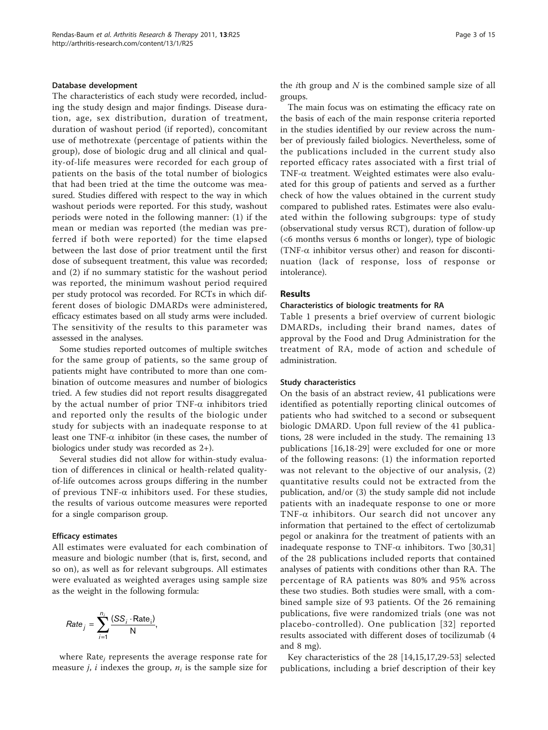#### Database development

The characteristics of each study were recorded, including the study design and major findings. Disease duration, age, sex distribution, duration of treatment, duration of washout period (if reported), concomitant use of methotrexate (percentage of patients within the group), dose of biologic drug and all clinical and quality-of-life measures were recorded for each group of patients on the basis of the total number of biologics that had been tried at the time the outcome was measured. Studies differed with respect to the way in which washout periods were reported. For this study, washout periods were noted in the following manner: (1) if the mean or median was reported (the median was preferred if both were reported) for the time elapsed between the last dose of prior treatment until the first dose of subsequent treatment, this value was recorded; and (2) if no summary statistic for the washout period was reported, the minimum washout period required per study protocol was recorded. For RCTs in which different doses of biologic DMARDs were administered, efficacy estimates based on all study arms were included. The sensitivity of the results to this parameter was assessed in the analyses.

Some studies reported outcomes of multiple switches for the same group of patients, so the same group of patients might have contributed to more than one combination of outcome measures and number of biologics tried. A few studies did not report results disaggregated by the actual number of prior TNF- $\alpha$  inhibitors tried and reported only the results of the biologic under study for subjects with an inadequate response to at least one TNF- $\alpha$  inhibitor (in these cases, the number of biologics under study was recorded as 2+).

Several studies did not allow for within-study evaluation of differences in clinical or health-related qualityof-life outcomes across groups differing in the number of previous TNF- $\alpha$  inhibitors used. For these studies, the results of various outcome measures were reported for a single comparison group.

#### Efficacy estimates

All estimates were evaluated for each combination of measure and biologic number (that is, first, second, and so on), as well as for relevant subgroups. All estimates were evaluated as weighted averages using sample size as the weight in the following formula:

$$
Rate_j = \sum_{i=1}^{n_i} \frac{(SS_i \cdot Rate_i)}{N},
$$

where  $Rate<sub>i</sub>$  represents the average response rate for measure *j*, *i* indexes the group,  $n_i$  is the sample size for the *i*th group and  $N$  is the combined sample size of all groups.

The main focus was on estimating the efficacy rate on the basis of each of the main response criteria reported in the studies identified by our review across the number of previously failed biologics. Nevertheless, some of the publications included in the current study also reported efficacy rates associated with a first trial of TNF- $\alpha$  treatment. Weighted estimates were also evaluated for this group of patients and served as a further check of how the values obtained in the current study compared to published rates. Estimates were also evaluated within the following subgroups: type of study (observational study versus RCT), duration of follow-up (<6 months versus 6 months or longer), type of biologic (TNF- $\alpha$  inhibitor versus other) and reason for discontinuation (lack of response, loss of response or intolerance).

#### Results

#### Characteristics of biologic treatments for RA

Table [1](#page-3-0) presents a brief overview of current biologic DMARDs, including their brand names, dates of approval by the Food and Drug Administration for the treatment of RA, mode of action and schedule of administration.

#### Study characteristics

On the basis of an abstract review, 41 publications were identified as potentially reporting clinical outcomes of patients who had switched to a second or subsequent biologic DMARD. Upon full review of the 41 publications, 28 were included in the study. The remaining 13 publications [[16,18](#page-13-0)-[29](#page-13-0)] were excluded for one or more of the following reasons: (1) the information reported was not relevant to the objective of our analysis, (2) quantitative results could not be extracted from the publication, and/or (3) the study sample did not include patients with an inadequate response to one or more TNF- $\alpha$  inhibitors. Our search did not uncover any information that pertained to the effect of certolizumab pegol or anakinra for the treatment of patients with an inadequate response to TNF- $\alpha$  inhibitors. Two [[30,31](#page-13-0)] of the 28 publications included reports that contained analyses of patients with conditions other than RA. The percentage of RA patients was 80% and 95% across these two studies. Both studies were small, with a combined sample size of 93 patients. Of the 26 remaining publications, five were randomized trials (one was not placebo-controlled). One publication [[32\]](#page-13-0) reported results associated with different doses of tocilizumab (4 and 8 mg).

Key characteristics of the 28 [[14,15,17,29](#page-13-0)[-53](#page-14-0)] selected publications, including a brief description of their key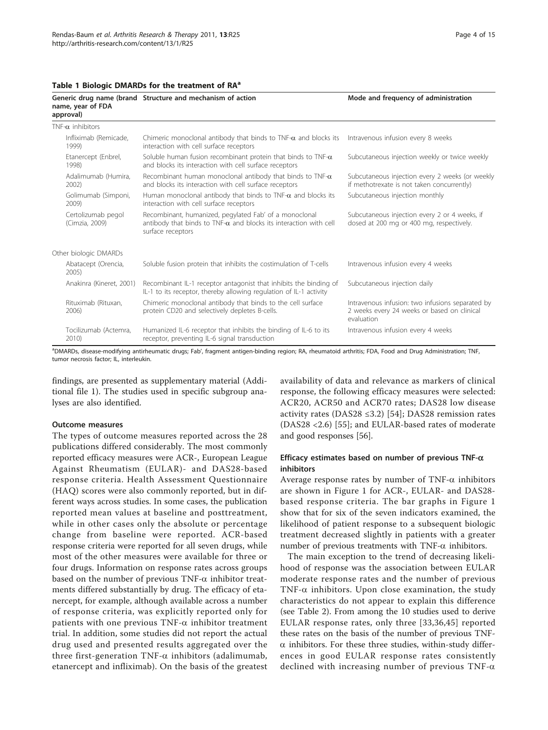<span id="page-3-0"></span>

|  |  |  |  | Table 1 Biologic DMARDs for the treatment of RA <sup>a</sup> |  |  |
|--|--|--|--|--------------------------------------------------------------|--|--|
|--|--|--|--|--------------------------------------------------------------|--|--|

| name, year of FDA<br>approval)       | Generic drug name (brand Structure and mechanism of action                                                                                               | Mode and frequency of administration                                                                          |  |  |
|--------------------------------------|----------------------------------------------------------------------------------------------------------------------------------------------------------|---------------------------------------------------------------------------------------------------------------|--|--|
| $TNF-\alpha$ inhibitors              |                                                                                                                                                          |                                                                                                               |  |  |
| Infliximab (Remicade,<br>1999)       | Chimeric monoclonal antibody that binds to TNF- $\alpha$ and blocks its<br>interaction with cell surface receptors                                       | Intravenous infusion every 8 weeks                                                                            |  |  |
| Etanercept (Enbrel,<br>1998)         | Soluble human fusion recombinant protein that binds to TNF- $\alpha$<br>and blocks its interaction with cell surface receptors                           | Subcutaneous injection weekly or twice weekly                                                                 |  |  |
| Adalimumab (Humira,<br>2002          | Recombinant human monoclonal antibody that binds to TNF- $\alpha$<br>and blocks its interaction with cell surface receptors                              | Subcutaneous injection every 2 weeks (or weekly<br>if methotrexate is not taken concurrently)                 |  |  |
| Golimumab (Simponi,<br>2009)         | Human monoclonal antibody that binds to TNF- $\alpha$ and blocks its<br>interaction with cell surface receptors                                          | Subcutaneous injection monthly                                                                                |  |  |
| Certolizumab pegol<br>(Cimzia, 2009) | Recombinant, humanized, pegylated Fab' of a monoclonal<br>antibody that binds to TNF- $\alpha$ and blocks its interaction with cell<br>surface receptors | Subcutaneous injection every 2 or 4 weeks, if<br>dosed at 200 mg or 400 mg, respectively.                     |  |  |
| Other biologic DMARDs                |                                                                                                                                                          |                                                                                                               |  |  |
| Abatacept (Orencia,<br>2005)         | Soluble fusion protein that inhibits the costimulation of T-cells                                                                                        | Intravenous infusion every 4 weeks                                                                            |  |  |
| Anakinra (Kineret, 2001)             | Recombinant IL-1 receptor antagonist that inhibits the binding of<br>IL-1 to its receptor, thereby allowing regulation of IL-1 activity                  | Subcutaneous injection daily                                                                                  |  |  |
| Rituximab (Rituxan,<br>2006)         | Chimeric monoclonal antibody that binds to the cell surface<br>protein CD20 and selectively depletes B-cells.                                            | Intravenous infusion: two infusions separated by<br>2 weeks every 24 weeks or based on clinical<br>evaluation |  |  |
| Tocilizumab (Actemra,<br>2010)       | Humanized IL-6 receptor that inhibits the binding of IL-6 to its<br>receptor, preventing IL-6 signal transduction                                        | Intravenous infusion every 4 weeks                                                                            |  |  |

a<br>DMARDs, disease-modifying antirheumatic drugs; Fab', fragment antigen-binding region; RA, rheumatoid arthritis; FDA, Food and Drug Administration; TNF, tumor necrosis factor; IL, interleukin.

findings, are presented as supplementary material (Additional file [1\)](#page-12-0). The studies used in specific subgroup analyses are also identified.

#### Outcome measures

The types of outcome measures reported across the 28 publications differed considerably. The most commonly reported efficacy measures were ACR-, European League Against Rheumatism (EULAR)- and DAS28-based response criteria. Health Assessment Questionnaire (HAQ) scores were also commonly reported, but in different ways across studies. In some cases, the publication reported mean values at baseline and posttreatment, while in other cases only the absolute or percentage change from baseline were reported. ACR-based response criteria were reported for all seven drugs, while most of the other measures were available for three or four drugs. Information on response rates across groups based on the number of previous  $TNF-\alpha$  inhibitor treatments differed substantially by drug. The efficacy of etanercept, for example, although available across a number of response criteria, was explicitly reported only for patients with one previous  $TNF-\alpha$  inhibitor treatment trial. In addition, some studies did not report the actual drug used and presented results aggregated over the three first-generation TNF- $\alpha$  inhibitors (adalimumab, etanercept and infliximab). On the basis of the greatest

availability of data and relevance as markers of clinical response, the following efficacy measures were selected: ACR20, ACR50 and ACR70 rates; DAS28 low disease activity rates (DAS28 ≤3.2) [[54](#page-14-0)]; DAS28 remission rates (DAS28 <2.6) [\[55](#page-14-0)]; and EULAR-based rates of moderate and good responses [\[56](#page-14-0)].

#### Efficacy estimates based on number of previous TNF- $\alpha$ inhibitors

Average response rates by number of TNF- $\alpha$  inhibitors are shown in Figure [1](#page-4-0) for ACR-, EULAR- and DAS28 based response criteria. The bar graphs in Figure [1](#page-4-0) show that for six of the seven indicators examined, the likelihood of patient response to a subsequent biologic treatment decreased slightly in patients with a greater number of previous treatments with  $TNF-\alpha$  inhibitors.

The main exception to the trend of decreasing likelihood of response was the association between EULAR moderate response rates and the number of previous TNF- $\alpha$  inhibitors. Upon close examination, the study characteristics do not appear to explain this difference (see Table [2\)](#page-5-0). From among the 10 studies used to derive EULAR response rates, only three [\[33,36](#page-13-0),[45](#page-14-0)] reported these rates on the basis of the number of previous TNF- $\alpha$  inhibitors. For these three studies, within-study differences in good EULAR response rates consistently declined with increasing number of previous  $TNF-\alpha$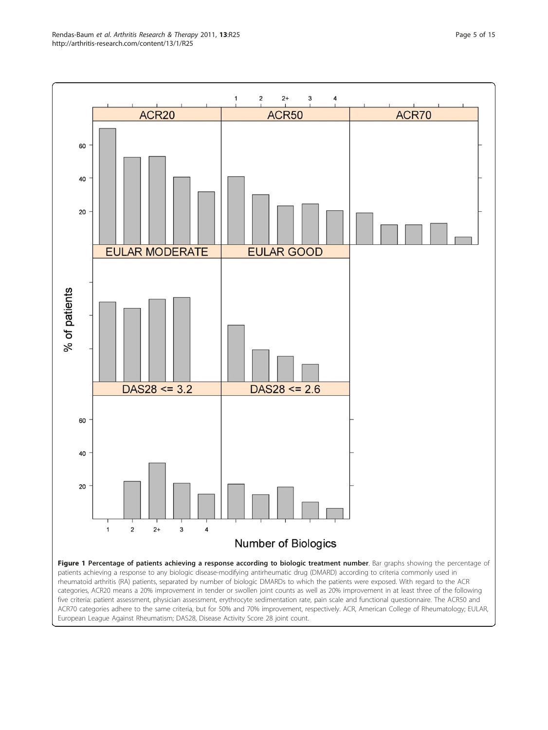<span id="page-4-0"></span>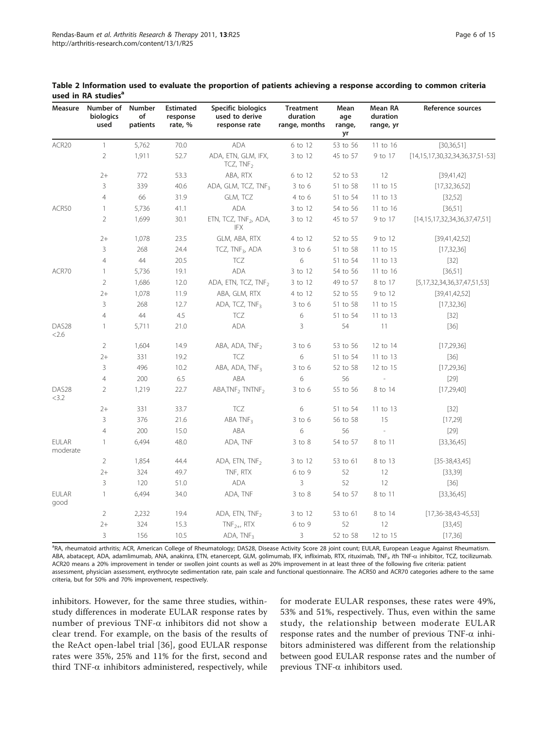| Measure                    | Number of<br>biologics<br>used | Number<br>of<br>patients | <b>Estimated</b><br>response<br>rate, % | Specific biologics<br>used to derive<br>response rate | <b>Treatment</b><br>duration<br>range, months | Mean<br>age<br>range,<br>уr | Mean RA<br>duration<br>range, yr | Reference sources                           |
|----------------------------|--------------------------------|--------------------------|-----------------------------------------|-------------------------------------------------------|-----------------------------------------------|-----------------------------|----------------------------------|---------------------------------------------|
| ACR20                      | $\mathbf{1}$                   | 5,762                    | 70.0                                    | <b>ADA</b>                                            | 6 to 12                                       | 53 to 56                    | 11 to 16                         | [30, 36, 51]                                |
|                            | $\overline{2}$                 | 1,911                    | 52.7                                    | ADA, ETN, GLM, IFX,<br>TCZ, $TNF2$                    | 3 to 12                                       | 45 to 57                    | 9 to 17                          | $[14, 15, 17, 30, 32, 34, 36, 37, 51 - 53]$ |
|                            | $2+$                           | 772                      | 53.3                                    | ABA, RTX                                              | 6 to 12                                       | 52 to 53                    | 12                               | [39,41,42]                                  |
|                            | 3                              | 339                      | 40.6                                    | ADA, GLM, TCZ, TNF3                                   | $3$ to $6$                                    | 51 to 58                    | 11 to 15                         | [17, 32, 36, 52]                            |
|                            | $\overline{4}$                 | 66                       | 31.9                                    | GLM, TCZ                                              | $4$ to $6$                                    | 51 to 54                    | 11 to 13                         | [32, 52]                                    |
| ACR50                      | $\mathbf{1}$                   | 5,736                    | 41.1                                    | ADA                                                   | 3 to 12                                       | 54 to 56                    | 11 to 16                         | [36,51]                                     |
|                            | $\overline{2}$                 | 1,699                    | 30.1                                    | ETN, TCZ, TNF <sub>2</sub> , ADA,<br>IFX              | 3 to 12                                       | 45 to 57                    | 9 to 17                          | [14, 15, 17, 32, 34, 36, 37, 47, 51]        |
|                            | $2+$                           | 1,078                    | 23.5                                    | GLM, ABA, RTX                                         | 4 to 12                                       | 52 to 55                    | 9 to 12                          | [39,41,42,52]                               |
|                            | 3                              | 268                      | 24.4                                    | TCZ, TNF <sub>3</sub> , ADA                           | $3$ to $6$                                    | 51 to 58                    | 11 to 15                         | [17, 32, 36]                                |
|                            | $\overline{4}$                 | $44\,$                   | 20.5                                    | <b>TCZ</b>                                            | 6                                             | 51 to 54                    | 11 to 13                         | $[32]$                                      |
| ACR70                      | $\mathbf{1}$                   | 5,736                    | 19.1                                    | <b>ADA</b>                                            | 3 to 12                                       | 54 to 56                    | 11 to 16                         | [36,51]                                     |
|                            | $\overline{2}$                 | 1,686                    | 12.0                                    | ADA, ETN, TCZ, TNF <sub>2</sub>                       | 3 to 12                                       | 49 to 57                    | 8 to 17                          | [5, 17, 32, 34, 36, 37, 47, 51, 53]         |
|                            | $2+$                           | 1,078                    | 11.9                                    | ABA, GLM, RTX                                         | 4 to 12                                       | 52 to 55                    | 9 to 12                          | [39,41,42,52]                               |
|                            | 3                              | 268                      | 12.7                                    | ADA, TCZ, TNF <sub>3</sub>                            | $3$ to $6$                                    | 51 to 58                    | 11 to 15                         | [17, 32, 36]                                |
|                            | $\overline{4}$                 | 44                       | 4.5                                     | TCZ                                                   | 6                                             | 51 to 54                    | 11 to 13                         | [32]                                        |
| DAS <sub>28</sub><br>2.6   | $\mathbf{1}$                   | 5,711                    | 21.0                                    | <b>ADA</b>                                            | 3                                             | 54                          | 11                               | $[36]$                                      |
|                            | $\overline{2}$                 | 1,604                    | 14.9                                    | ABA, ADA, TNF <sub>2</sub>                            | $3$ to $6$                                    | 53 to 56                    | 12 to 14                         | [17, 29, 36]                                |
|                            | $2+$                           | 331                      | 19.2                                    | <b>TCZ</b>                                            | 6                                             | 51 to 54                    | 11 to 13                         | $[36]$                                      |
|                            | 3                              | 496                      | 10.2                                    | ABA, ADA, TNF <sub>3</sub>                            | $3$ to $6$                                    | 52 to 58                    | 12 to 15                         | [17, 29, 36]                                |
|                            | $\overline{4}$                 | 200                      | 6.5                                     | ABA                                                   | 6                                             | 56                          |                                  | $[29]$                                      |
| DAS <sub>28</sub><br>< 3.2 | $\overline{2}$                 | 1,219                    | 22.7                                    | ABA, TNF <sub>2</sub> TNTNF <sub>2</sub>              | $3$ to $6$                                    | 55 to 56                    | 8 to 14                          | [17, 29, 40]                                |
|                            | $2+$                           | 331                      | 33.7                                    | TCZ                                                   | 6                                             | 51 to 54                    | 11 to 13                         | $[32]$                                      |
|                            | 3                              | 376                      | 21.6                                    | ABA $TNF_3$                                           | $3$ to $6$                                    | 56 to 58                    | 15                               | [17,29]                                     |
|                            | $\overline{4}$                 | 200                      | 15.0                                    | ABA                                                   | 6                                             | 56                          |                                  | $[29]$                                      |
| <b>EULAR</b><br>moderate   | $\mathbf{1}$                   | 6,494                    | 48.0                                    | ADA, TNF                                              | $3$ to $8$                                    | 54 to 57                    | 8 to 11                          | [33, 36, 45]                                |
|                            | $\overline{2}$                 | 1,854                    | 44.4                                    | ADA, ETN, $TNF2$                                      | 3 to 12                                       | 53 to 61                    | 8 to 13                          | $[35 - 38, 43, 45]$                         |
|                            | $2+$                           | 324                      | 49.7                                    | TNF, RTX                                              | $6$ to $9$                                    | 52                          | 12                               | [33, 39]                                    |
|                            | 3                              | 120                      | 51.0                                    | <b>ADA</b>                                            | 3                                             | 52                          | 12                               | $[36]$                                      |
| <b>EULAR</b><br>good       | $\mathbf{1}$                   | 6,494                    | 34.0                                    | ADA, TNF                                              | $3$ to $8$                                    | 54 to 57                    | 8 to 11                          | [33, 36, 45]                                |
|                            | $\overline{2}$                 | 2,232                    | 19.4                                    | ADA, ETN, $TNF_2$                                     | 3 to 12                                       | 53 to 61                    | 8 to 14                          | $[17,36-38,43-45,53]$                       |
|                            | $2+$                           | 324                      | 15.3                                    | $TNF_{2+}$ , RTX                                      | 6 to 9                                        | 52                          | 12                               | [33,45]                                     |
|                            | 3                              | 156                      | 10.5                                    | ADA, TNF3                                             | 3                                             | 52 to 58                    | 12 to 15                         | [17, 36]                                    |

<span id="page-5-0"></span>Table 2 Information used to evaluate the proportion of patients achieving a response according to common criteria used in RA studies<sup>a</sup>

a RA, rheumatoid arthritis; ACR, American College of Rheumatology; DAS28, Disease Activity Score 28 joint count; EULAR, European League Against Rheumatism. ABA, abatacept, ADA, adamlimumab, ANA, anakinra, ETN, etanercept, GLM, golimumab, IFX, infliximab, RTX, rituximab, TNF<sub>i</sub>, *i*th TNF- $\alpha$  inhibitor, TCZ, tocilizumab. ACR20 means a 20% improvement in tender or swollen joint counts as well as 20% improvement in at least three of the following five criteria: patient assessment, physician assessment, erythrocyte sedimentation rate, pain scale and functional questionnaire. The ACR50 and ACR70 categories adhere to the same criteria, but for 50% and 70% improvement, respectively.

inhibitors. However, for the same three studies, withinstudy differences in moderate EULAR response rates by number of previous TNF- $\alpha$  inhibitors did not show a clear trend. For example, on the basis of the results of the ReAct open-label trial [[36\]](#page-13-0), good EULAR response rates were 35%, 25% and 11% for the first, second and third TNF- $\alpha$  inhibitors administered, respectively, while

for moderate EULAR responses, these rates were 49%, 53% and 51%, respectively. Thus, even within the same study, the relationship between moderate EULAR response rates and the number of previous  $TNF-\alpha$  inhibitors administered was different from the relationship between good EULAR response rates and the number of previous TNF- $\alpha$  inhibitors used.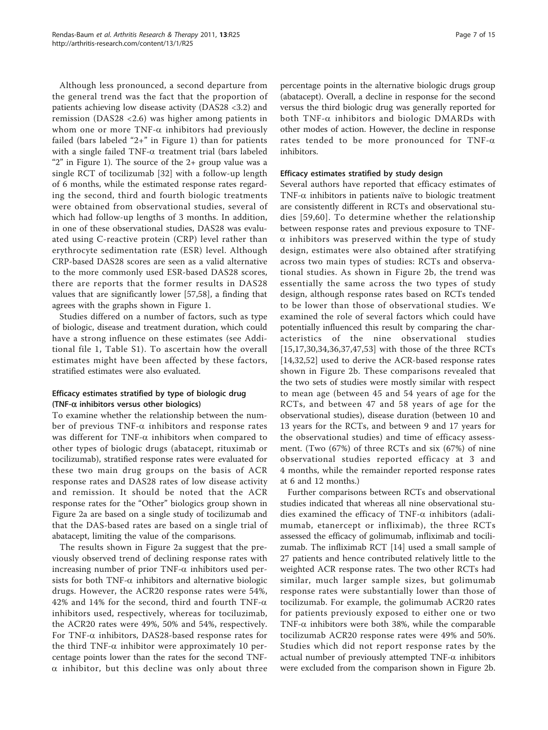Although less pronounced, a second departure from the general trend was the fact that the proportion of patients achieving low disease activity (DAS28 <3.2) and remission (DAS28 <2.6) was higher among patients in whom one or more TNF- $\alpha$  inhibitors had previously failed (bars labeled "2+" in Figure [1\)](#page-4-0) than for patients with a single failed TNF- $\alpha$  treatment trial (bars labeled " $2$ " in Figure [1](#page-4-0)). The source of the  $2+$  group value was a single RCT of tocilizumab [\[32](#page-13-0)] with a follow-up length of 6 months, while the estimated response rates regarding the second, third and fourth biologic treatments were obtained from observational studies, several of which had follow-up lengths of 3 months. In addition, in one of these observational studies, DAS28 was evaluated using C-reactive protein (CRP) level rather than erythrocyte sedimentation rate (ESR) level. Although CRP-based DAS28 scores are seen as a valid alternative to the more commonly used ESR-based DAS28 scores, there are reports that the former results in DAS28 values that are significantly lower [\[57,58](#page-14-0)], a finding that agrees with the graphs shown in Figure [1](#page-4-0).

Studies differed on a number of factors, such as type of biologic, disease and treatment duration, which could have a strong influence on these estimates (see Additional file [1](#page-12-0), Table S1). To ascertain how the overall estimates might have been affected by these factors, stratified estimates were also evaluated.

## Efficacy estimates stratified by type of biologic drug (TNF- $\alpha$  inhibitors versus other biologics)

To examine whether the relationship between the number of previous TNF- $\alpha$  inhibitors and response rates was different for TNF- $\alpha$  inhibitors when compared to other types of biologic drugs (abatacept, rituximab or tocilizumab), stratified response rates were evaluated for these two main drug groups on the basis of ACR response rates and DAS28 rates of low disease activity and remission. It should be noted that the ACR response rates for the "Other" biologics group shown in Figure [2a](#page-7-0) are based on a single study of tocilizumab and that the DAS-based rates are based on a single trial of abatacept, limiting the value of the comparisons.

The results shown in Figure [2a](#page-7-0) suggest that the previously observed trend of declining response rates with increasing number of prior TNF- $\alpha$  inhibitors used persists for both TNF- $\alpha$  inhibitors and alternative biologic drugs. However, the ACR20 response rates were 54%, 42% and 14% for the second, third and fourth TNF- $\alpha$ inhibitors used, respectively, whereas for tociluzimab, the ACR20 rates were 49%, 50% and 54%, respectively. For TNF- $\alpha$  inhibitors, DAS28-based response rates for the third TNF- $\alpha$  inhibitor were approximately 10 percentage points lower than the rates for the second TNF- $\alpha$  inhibitor, but this decline was only about three

percentage points in the alternative biologic drugs group (abatacept). Overall, a decline in response for the second versus the third biologic drug was generally reported for both TNF- $\alpha$  inhibitors and biologic DMARDs with other modes of action. However, the decline in response rates tended to be more pronounced for TNF- $\alpha$ inhibitors.

#### Efficacy estimates stratified by study design

Several authors have reported that efficacy estimates of TNF- $\alpha$  inhibitors in patients naïve to biologic treatment are consistently different in RCTs and observational studies [[59](#page-14-0),[60](#page-14-0)]. To determine whether the relationship between response rates and previous exposure to TNF- $\alpha$  inhibitors was preserved within the type of study design, estimates were also obtained after stratifying across two main types of studies: RCTs and observational studies. As shown in Figure [2b,](#page-7-0) the trend was essentially the same across the two types of study design, although response rates based on RCTs tended to be lower than those of observational studies. We examined the role of several factors which could have potentially influenced this result by comparing the characteristics of the nine observational studies [[15](#page-13-0),[17,30](#page-13-0),[34,36](#page-13-0),[37,](#page-13-0)[47](#page-14-0),[53\]](#page-14-0) with those of the three RCTs [[14,32](#page-13-0)[,52](#page-14-0)] used to derive the ACR-based response rates shown in Figure [2b](#page-7-0). These comparisons revealed that the two sets of studies were mostly similar with respect to mean age (between 45 and 54 years of age for the RCTs, and between 47 and 58 years of age for the observational studies), disease duration (between 10 and 13 years for the RCTs, and between 9 and 17 years for the observational studies) and time of efficacy assessment. (Two (67%) of three RCTs and six (67%) of nine observational studies reported efficacy at 3 and 4 months, while the remainder reported response rates at 6 and 12 months.)

Further comparisons between RCTs and observational studies indicated that whereas all nine observational studies examined the efficacy of TNF- $\alpha$  inhibitors (adalimumab, etanercept or infliximab), the three RCTs assessed the efficacy of golimumab, infliximab and tocilizumab. The infliximab RCT [[14](#page-13-0)] used a small sample of 27 patients and hence contributed relatively little to the weighted ACR response rates. The two other RCTs had similar, much larger sample sizes, but golimumab response rates were substantially lower than those of tocilizumab. For example, the golimumab ACR20 rates for patients previously exposed to either one or two TNF- $\alpha$  inhibitors were both 38%, while the comparable tocilizumab ACR20 response rates were 49% and 50%. Studies which did not report response rates by the actual number of previously attempted  $TNF-\alpha$  inhibitors were excluded from the comparison shown in Figure [2b](#page-7-0).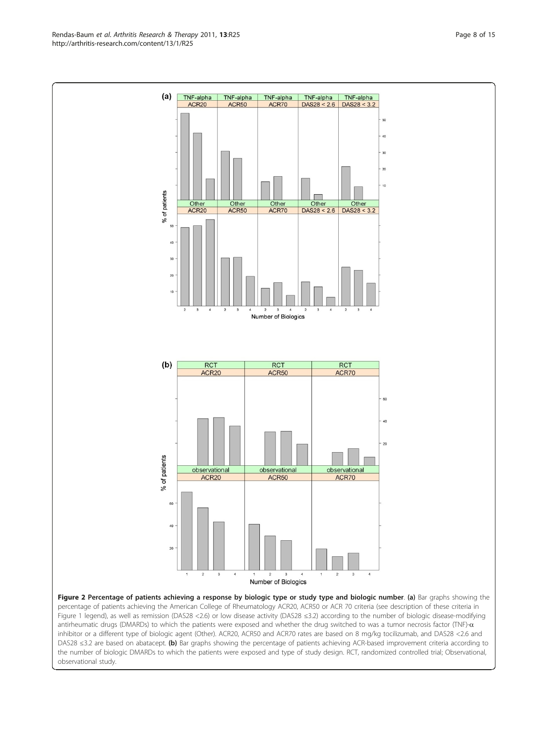Figure 2 Percentage of patients achieving a response by biologic type or study type and biologic number. (a) Bar graphs showing the percentage of patients achieving the American College of Rheumatology ACR20, ACR50 or ACR 70 criteria (see description of these criteria in Figure 1 legend), as well as remission (DAS28 <2.6) or low disease activity (DAS28 ≤3.2) according to the number of biologic disease-modifying antirheumatic drugs (DMARDs) to which the patients were exposed and whether the drug switched to was a tumor necrosis factor (TNF)- $\alpha$ inhibitor or a different type of biologic agent (Other). ACR20, ACR50 and ACR70 rates are based on 8 mg/kg tocilizumab, and DAS28 <2.6 and DAS28 ≤3.2 are based on abatacept. (b) Bar graphs showing the percentage of patients achieving ACR-based improvement criteria according to the number of biologic DMARDs to which the patients were exposed and type of study design. RCT, randomized controlled trial; Observational, observational study.

<span id="page-7-0"></span>![](_page_7_Figure_2.jpeg)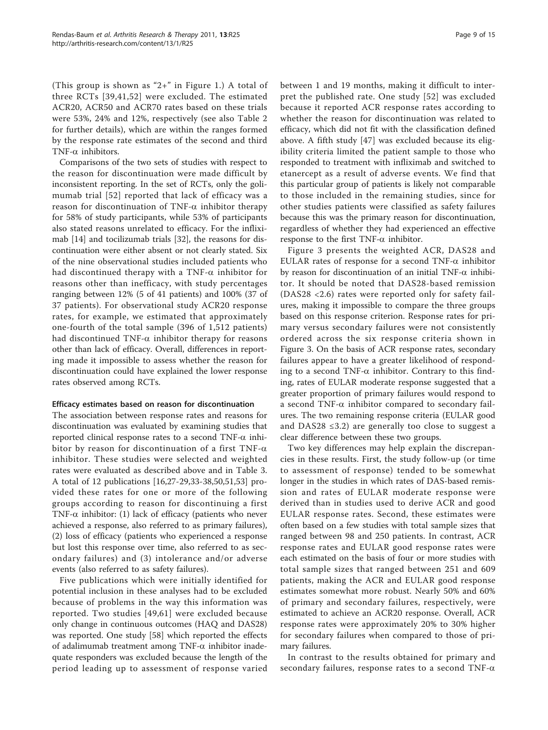(This group is shown as "2+" in Figure [1](#page-4-0).) A total of three RCTs [[39](#page-13-0),[41](#page-13-0)[,52\]](#page-14-0) were excluded. The estimated ACR20, ACR50 and ACR70 rates based on these trials were 53%, 24% and 12%, respectively (see also Table [2](#page-5-0) for further details), which are within the ranges formed by the response rate estimates of the second and third TNF- $\alpha$  inhibitors.

Comparisons of the two sets of studies with respect to the reason for discontinuation were made difficult by inconsistent reporting. In the set of RCTs, only the golimumab trial [[52](#page-14-0)] reported that lack of efficacy was a reason for discontinuation of TNF- $\alpha$  inhibitor therapy for 58% of study participants, while 53% of participants also stated reasons unrelated to efficacy. For the infliximab [[14](#page-13-0)] and tocilizumab trials [\[32](#page-13-0)], the reasons for discontinuation were either absent or not clearly stated. Six of the nine observational studies included patients who had discontinued therapy with a TNF- $\alpha$  inhibitor for reasons other than inefficacy, with study percentages ranging between 12% (5 of 41 patients) and 100% (37 of 37 patients). For observational study ACR20 response rates, for example, we estimated that approximately one-fourth of the total sample (396 of 1,512 patients) had discontinued TNF- $\alpha$  inhibitor therapy for reasons other than lack of efficacy. Overall, differences in reporting made it impossible to assess whether the reason for discontinuation could have explained the lower response rates observed among RCTs.

#### Efficacy estimates based on reason for discontinuation

The association between response rates and reasons for discontinuation was evaluated by examining studies that reported clinical response rates to a second TNF- $\alpha$  inhibitor by reason for discontinuation of a first TNF- $\alpha$ inhibitor. These studies were selected and weighted rates were evaluated as described above and in Table [3](#page-9-0). A total of 12 publications [[16](#page-13-0),[27](#page-13-0)-[29,33-38](#page-13-0),[50](#page-14-0),[51](#page-14-0),[53](#page-14-0)] provided these rates for one or more of the following groups according to reason for discontinuing a first TNF- $\alpha$  inhibitor: (1) lack of efficacy (patients who never achieved a response, also referred to as primary failures), (2) loss of efficacy (patients who experienced a response but lost this response over time, also referred to as secondary failures) and (3) intolerance and/or adverse events (also referred to as safety failures).

Five publications which were initially identified for potential inclusion in these analyses had to be excluded because of problems in the way this information was reported. Two studies [\[49,61\]](#page-14-0) were excluded because only change in continuous outcomes (HAQ and DAS28) was reported. One study [\[58](#page-14-0)] which reported the effects of adalimumab treatment among  $TNF-\alpha$  inhibitor inadequate responders was excluded because the length of the period leading up to assessment of response varied between 1 and 19 months, making it difficult to interpret the published rate. One study [[52\]](#page-14-0) was excluded because it reported ACR response rates according to whether the reason for discontinuation was related to efficacy, which did not fit with the classification defined above. A fifth study [[47\]](#page-14-0) was excluded because its eligibility criteria limited the patient sample to those who responded to treatment with infliximab and switched to etanercept as a result of adverse events. We find that this particular group of patients is likely not comparable to those included in the remaining studies, since for other studies patients were classified as safety failures because this was the primary reason for discontinuation, regardless of whether they had experienced an effective response to the first TNF- $\alpha$  inhibitor.

Figure [3](#page-10-0) presents the weighted ACR, DAS28 and EULAR rates of response for a second TNF- $\alpha$  inhibitor by reason for discontinuation of an initial TNF- $\alpha$  inhibitor. It should be noted that DAS28-based remission (DAS28 <2.6) rates were reported only for safety failures, making it impossible to compare the three groups based on this response criterion. Response rates for primary versus secondary failures were not consistently ordered across the six response criteria shown in Figure [3.](#page-10-0) On the basis of ACR response rates, secondary failures appear to have a greater likelihood of responding to a second TNF- $\alpha$  inhibitor. Contrary to this finding, rates of EULAR moderate response suggested that a greater proportion of primary failures would respond to a second TNF- $\alpha$  inhibitor compared to secondary failures. The two remaining response criteria (EULAR good and DAS28 ≤3.2) are generally too close to suggest a clear difference between these two groups.

Two key differences may help explain the discrepancies in these results. First, the study follow-up (or time to assessment of response) tended to be somewhat longer in the studies in which rates of DAS-based remission and rates of EULAR moderate response were derived than in studies used to derive ACR and good EULAR response rates. Second, these estimates were often based on a few studies with total sample sizes that ranged between 98 and 250 patients. In contrast, ACR response rates and EULAR good response rates were each estimated on the basis of four or more studies with total sample sizes that ranged between 251 and 609 patients, making the ACR and EULAR good response estimates somewhat more robust. Nearly 50% and 60% of primary and secondary failures, respectively, were estimated to achieve an ACR20 response. Overall, ACR response rates were approximately 20% to 30% higher for secondary failures when compared to those of primary failures.

In contrast to the results obtained for primary and secondary failures, response rates to a second TNF- $\alpha$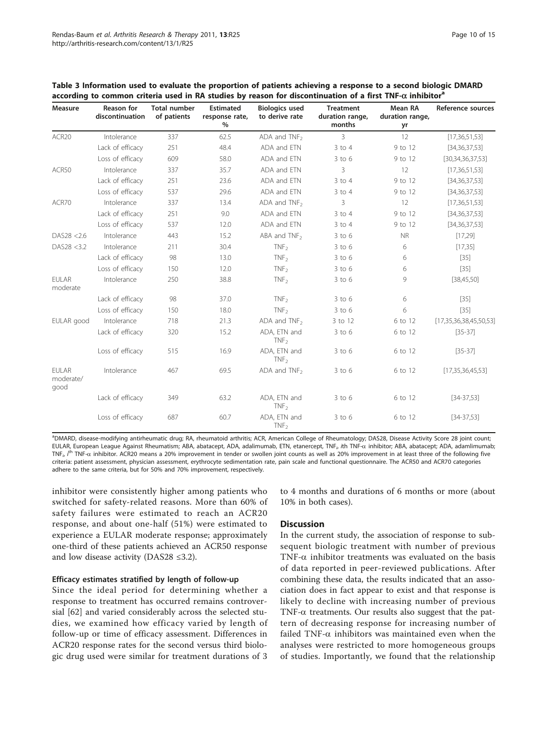| <b>Measure</b>                    | <b>Reason for</b><br>discontinuation | <b>Total number</b><br>of patients | <b>Estimated</b><br>response rate,<br>$\%$ | <b>Biologics used</b><br>to derive rate | <b>Treatment</b><br>duration range,<br>months | <b>Mean RA</b><br>duration range,<br>yr | Reference sources      |
|-----------------------------------|--------------------------------------|------------------------------------|--------------------------------------------|-----------------------------------------|-----------------------------------------------|-----------------------------------------|------------------------|
| ACR <sub>20</sub>                 | Intolerance                          | 337                                | 62.5                                       | ADA and $TNF2$                          | 3                                             | 12                                      | [17, 36, 51, 53]       |
|                                   | Lack of efficacy                     | 251                                | 48.4                                       | ADA and ETN                             | $3$ to $4$                                    | 9 to 12                                 | [34, 36, 37, 53]       |
|                                   | Loss of efficacy                     | 609                                | 58.0                                       | ADA and ETN                             | $3$ to $6$                                    | 9 to 12                                 | [30, 34, 36, 37, 53]   |
| ACR50                             | Intolerance                          | 337                                | 35.7                                       | ADA and ETN                             | 3                                             | 12                                      | [17, 36, 51, 53]       |
|                                   | Lack of efficacy                     | 251                                | 23.6                                       | ADA and ETN                             | $3$ to $4$                                    | 9 to 12                                 | [34, 36, 37, 53]       |
|                                   | Loss of efficacy                     | 537                                | 29.6                                       | ADA and ETN                             | $3$ to $4$                                    | 9 to 12                                 | [34, 36, 37, 53]       |
| ACR70                             | Intolerance                          | 337                                | 13.4                                       | ADA and $TNF2$                          | 3                                             | 12                                      | [17, 36, 51, 53]       |
|                                   | Lack of efficacy                     | 251                                | 9.0                                        | ADA and ETN                             | $3$ to $4$                                    | 9 to 12                                 | [34, 36, 37, 53]       |
|                                   | Loss of efficacy                     | 537                                | 12.0                                       | ADA and ETN                             | $3$ to $4$                                    | 9 to 12                                 | [34, 36, 37, 53]       |
| DAS28 <2.6                        | Intolerance                          | 443                                | 15.2                                       | ABA and $TNF2$                          | $3$ to $6$                                    | <b>NR</b>                               | [17, 29]               |
| DAS28 <3.2                        | Intolerance                          | 211                                | 30.4                                       | TNF <sub>2</sub>                        | $3$ to $6$                                    | 6                                       | [17, 35]               |
|                                   | Lack of efficacy                     | 98                                 | 13.0                                       | TNF <sub>2</sub>                        | $3$ to $6$                                    | 6                                       | $[35]$                 |
|                                   | Loss of efficacy                     | 150                                | 12.0                                       | TNF <sub>2</sub>                        | $3$ to $6$                                    | 6                                       | $[35]$                 |
| FUI AR<br>moderate                | Intolerance                          | 250                                | 38.8                                       | TNF <sub>2</sub>                        | $3$ to $6$                                    | 9                                       | [38, 45, 50]           |
|                                   | Lack of efficacy                     | 98                                 | 37.0                                       | TNF <sub>2</sub>                        | $3$ to $6$                                    | 6                                       | $[35]$                 |
|                                   | Loss of efficacy                     | 150                                | 18.0                                       | TNF <sub>2</sub>                        | $3$ to $6$                                    | 6                                       | $[35]$                 |
| EULAR good                        | Intolerance                          | 718                                | 21.3                                       | ADA and $TNF_2$                         | 3 to 12                                       | 6 to 12                                 | [17,35,36,38,45,50,53] |
|                                   | Lack of efficacy                     | 320                                | 15.2                                       | ADA, ETN and<br>TNF <sub>2</sub>        | $3$ to $6$                                    | 6 to 12                                 | $[35-37]$              |
|                                   | Loss of efficacy                     | 515                                | 16.9                                       | ADA, ETN and<br>TNF <sub>2</sub>        | $3$ to $6$                                    | 6 to 12                                 | $[35-37]$              |
| <b>EULAR</b><br>moderate/<br>good | Intolerance                          | 467                                | 69.5                                       | ADA and $TNF2$                          | $3$ to $6$                                    | 6 to 12                                 | [17, 35, 36, 45, 53]   |
|                                   | Lack of efficacy                     | 349                                | 63.2                                       | ADA, ETN and<br>TNF <sub>2</sub>        | $3$ to $6$                                    | 6 to 12                                 | $[34-37,53]$           |
|                                   | Loss of efficacy                     | 687                                | 60.7                                       | ADA, ETN and<br>TNF <sub>2</sub>        | $3$ to $6$                                    | 6 to 12                                 | $[34-37,53]$           |

<span id="page-9-0"></span>Table 3 Information used to evaluate the proportion of patients achieving a response to a second biologic DMARD according to common criteria used in RA studies by reason for discontinuation of a first TNF- $\alpha$  inhibitor<sup>a</sup>

a DMARD, disease-modifying antirheumatic drug; RA, rheumatoid arthritis; ACR, American College of Rheumatology; DAS28, Disease Activity Score 28 joint count;  $\tt EULAR_{_f}$  European League Against Rheumatism; ABA, abatacept, ADA, adalimumab, ETN, etanercept, TNF $_{i}$ , i $t$ h TNF- $\alpha$  inhibitor; ABA, abatacept; ADA, adamlimumab TNF<sub>i</sub>, i<sup>th</sup> TNF- $\alpha$  inhibitor. ACR20 means a 20% improvement in tender or swollen joint counts as well as 20% improvement in at least three of the following five criteria: patient assessment, physician assessment, erythrocyte sedimentation rate, pain scale and functional questionnaire. The ACR50 and ACR70 categories adhere to the same criteria, but for 50% and 70% improvement, respectively.

inhibitor were consistently higher among patients who switched for safety-related reasons. More than 60% of safety failures were estimated to reach an ACR20 response, and about one-half (51%) were estimated to experience a EULAR moderate response; approximately one-third of these patients achieved an ACR50 response and low disease activity (DAS28 ≤3.2).

### Efficacy estimates stratified by length of follow-up

Since the ideal period for determining whether a response to treatment has occurred remains controversial [[62](#page-14-0)] and varied considerably across the selected studies, we examined how efficacy varied by length of follow-up or time of efficacy assessment. Differences in ACR20 response rates for the second versus third biologic drug used were similar for treatment durations of 3

to 4 months and durations of 6 months or more (about 10% in both cases).

#### **Discussion**

In the current study, the association of response to subsequent biologic treatment with number of previous TNF- $\alpha$  inhibitor treatments was evaluated on the basis of data reported in peer-reviewed publications. After combining these data, the results indicated that an association does in fact appear to exist and that response is likely to decline with increasing number of previous TNF- $\alpha$  treatments. Our results also suggest that the pattern of decreasing response for increasing number of failed TNF- $\alpha$  inhibitors was maintained even when the analyses were restricted to more homogeneous groups of studies. Importantly, we found that the relationship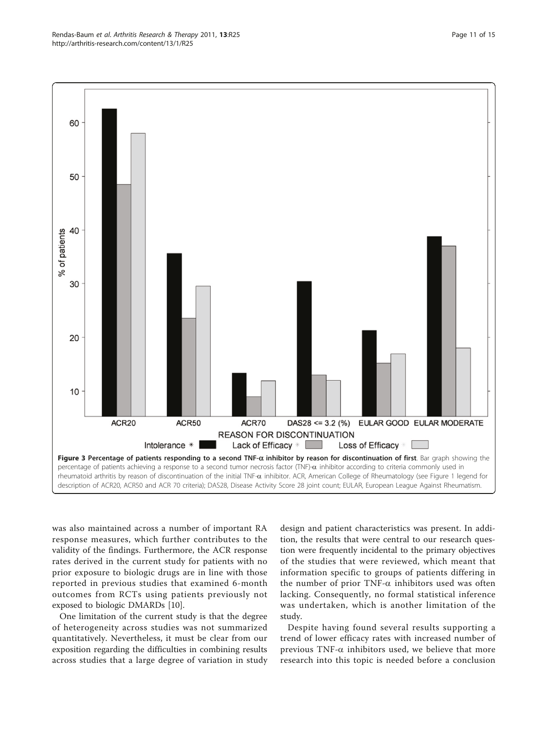<span id="page-10-0"></span>![](_page_10_Figure_1.jpeg)

was also maintained across a number of important RA response measures, which further contributes to the validity of the findings. Furthermore, the ACR response rates derived in the current study for patients with no prior exposure to biologic drugs are in line with those reported in previous studies that examined 6-month outcomes from RCTs using patients previously not exposed to biologic DMARDs [[10](#page-12-0)].

One limitation of the current study is that the degree of heterogeneity across studies was not summarized quantitatively. Nevertheless, it must be clear from our exposition regarding the difficulties in combining results across studies that a large degree of variation in study

design and patient characteristics was present. In addition, the results that were central to our research question were frequently incidental to the primary objectives of the studies that were reviewed, which meant that information specific to groups of patients differing in the number of prior TNF- $\alpha$  inhibitors used was often lacking. Consequently, no formal statistical inference was undertaken, which is another limitation of the study.

Despite having found several results supporting a trend of lower efficacy rates with increased number of previous TNF- $\alpha$  inhibitors used, we believe that more research into this topic is needed before a conclusion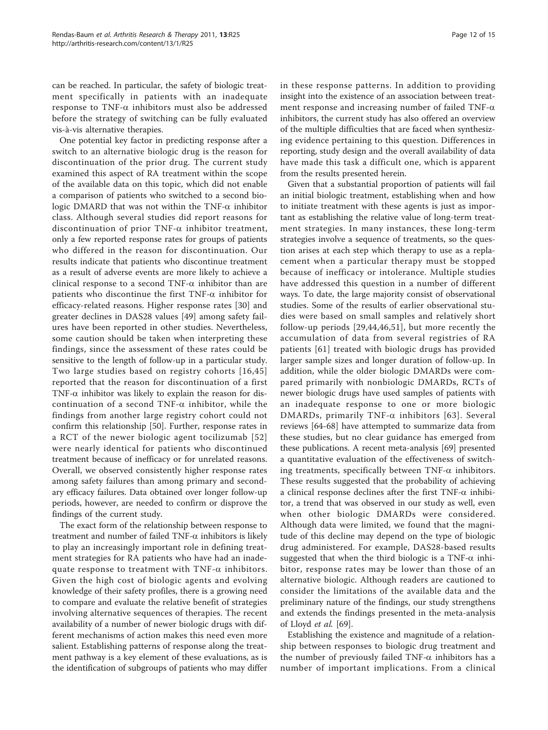can be reached. In particular, the safety of biologic treatment specifically in patients with an inadequate response to TNF- $\alpha$  inhibitors must also be addressed before the strategy of switching can be fully evaluated vis-à-vis alternative therapies.

One potential key factor in predicting response after a switch to an alternative biologic drug is the reason for discontinuation of the prior drug. The current study examined this aspect of RA treatment within the scope of the available data on this topic, which did not enable a comparison of patients who switched to a second biologic DMARD that was not within the TNF- $\alpha$  inhibitor class. Although several studies did report reasons for discontinuation of prior  $TNF-\alpha$  inhibitor treatment, only a few reported response rates for groups of patients who differed in the reason for discontinuation. Our results indicate that patients who discontinue treatment as a result of adverse events are more likely to achieve a clinical response to a second TNF- $\alpha$  inhibitor than are patients who discontinue the first  $TNF-\alpha$  inhibitor for efficacy-related reasons. Higher response rates [[30\]](#page-13-0) and greater declines in DAS28 values [\[49](#page-14-0)] among safety failures have been reported in other studies. Nevertheless, some caution should be taken when interpreting these findings, since the assessment of these rates could be sensitive to the length of follow-up in a particular study. Two large studies based on registry cohorts [[16](#page-13-0),[45](#page-14-0)] reported that the reason for discontinuation of a first TNF- $\alpha$  inhibitor was likely to explain the reason for discontinuation of a second TNF- $\alpha$  inhibitor, while the findings from another large registry cohort could not confirm this relationship [[50](#page-14-0)]. Further, response rates in a RCT of the newer biologic agent tocilizumab [[52](#page-14-0)] were nearly identical for patients who discontinued treatment because of inefficacy or for unrelated reasons. Overall, we observed consistently higher response rates among safety failures than among primary and secondary efficacy failures. Data obtained over longer follow-up periods, however, are needed to confirm or disprove the findings of the current study.

The exact form of the relationship between response to treatment and number of failed  $TNF-\alpha$  inhibitors is likely to play an increasingly important role in defining treatment strategies for RA patients who have had an inadequate response to treatment with  $TNF-\alpha$  inhibitors. Given the high cost of biologic agents and evolving knowledge of their safety profiles, there is a growing need to compare and evaluate the relative benefit of strategies involving alternative sequences of therapies. The recent availability of a number of newer biologic drugs with different mechanisms of action makes this need even more salient. Establishing patterns of response along the treatment pathway is a key element of these evaluations, as is the identification of subgroups of patients who may differ in these response patterns. In addition to providing insight into the existence of an association between treatment response and increasing number of failed TNF- $\alpha$ inhibitors, the current study has also offered an overview of the multiple difficulties that are faced when synthesizing evidence pertaining to this question. Differences in reporting, study design and the overall availability of data have made this task a difficult one, which is apparent from the results presented herein.

Given that a substantial proportion of patients will fail an initial biologic treatment, establishing when and how to initiate treatment with these agents is just as important as establishing the relative value of long-term treatment strategies. In many instances, these long-term strategies involve a sequence of treatments, so the question arises at each step which therapy to use as a replacement when a particular therapy must be stopped because of inefficacy or intolerance. Multiple studies have addressed this question in a number of different ways. To date, the large majority consist of observational studies. Some of the results of earlier observational studies were based on small samples and relatively short follow-up periods [\[29,44](#page-13-0)[,46,51](#page-14-0)], but more recently the accumulation of data from several registries of RA patients [[61\]](#page-14-0) treated with biologic drugs has provided larger sample sizes and longer duration of follow-up. In addition, while the older biologic DMARDs were compared primarily with nonbiologic DMARDs, RCTs of newer biologic drugs have used samples of patients with an inadequate response to one or more biologic DMARDs, primarily TNF- $\alpha$  inhibitors [[63\]](#page-14-0). Several reviews [[64](#page-14-0)-[68\]](#page-14-0) have attempted to summarize data from these studies, but no clear guidance has emerged from these publications. A recent meta-analysis [\[69\]](#page-14-0) presented a quantitative evaluation of the effectiveness of switching treatments, specifically between TNF- $\alpha$  inhibitors. These results suggested that the probability of achieving a clinical response declines after the first TNF- $\alpha$  inhibitor, a trend that was observed in our study as well, even when other biologic DMARDs were considered. Although data were limited, we found that the magnitude of this decline may depend on the type of biologic drug administered. For example, DAS28-based results suggested that when the third biologic is a TNF- $\alpha$  inhibitor, response rates may be lower than those of an alternative biologic. Although readers are cautioned to consider the limitations of the available data and the preliminary nature of the findings, our study strengthens and extends the findings presented in the meta-analysis of Lloyd et al. [[69\]](#page-14-0).

Establishing the existence and magnitude of a relationship between responses to biologic drug treatment and the number of previously failed  $TNF-\alpha$  inhibitors has a number of important implications. From a clinical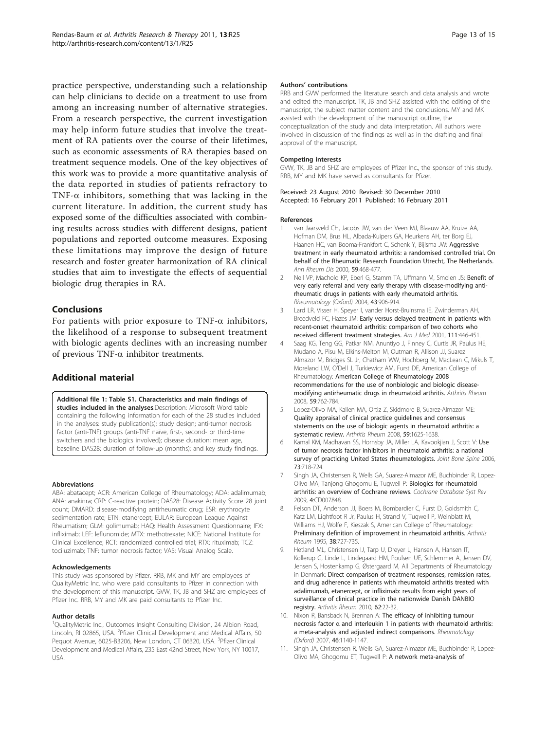<span id="page-12-0"></span>practice perspective, understanding such a relationship can help clinicians to decide on a treatment to use from among an increasing number of alternative strategies. From a research perspective, the current investigation may help inform future studies that involve the treatment of RA patients over the course of their lifetimes, such as economic assessments of RA therapies based on treatment sequence models. One of the key objectives of this work was to provide a more quantitative analysis of the data reported in studies of patients refractory to TNF- $\alpha$  inhibitors, something that was lacking in the current literature. In addition, the current study has exposed some of the difficulties associated with combining results across studies with different designs, patient populations and reported outcome measures. Exposing these limitations may improve the design of future research and foster greater harmonization of RA clinical studies that aim to investigate the effects of sequential biologic drug therapies in RA.

## **Conclusions**

For patients with prior exposure to TNF- $\alpha$  inhibitors, the likelihood of a response to subsequent treatment with biologic agents declines with an increasing number of previous  $TNF-\alpha$  inhibitor treatments.

## Additional material

#### [Additional file 1: T](http://www.biomedcentral.com/content/supplementary/ar3249-S1.DOC)able S1. Characteristics and main findings of studies included in the analyses.Description: Microsoft Word table containing the following information for each of the 28 studies included in the analyses: study publication(s); study design; anti-tumor necrosis factor (anti-TNF) groups (anti-TNF naïve, first-, second- or third-time switchers and the biologics involved); disease duration; mean age,

baseline DAS28; duration of follow-up (months); and key study findings.

Abbreviations

ABA: abatacept; ACR: American College of Rheumatology; ADA: adalimumab; ANA: anakinra; CRP: C-reactive protein; DAS28: Disease Activity Score 28 joint count; DMARD: disease-modifying antirheumatic drug; ESR: erythrocyte sedimentation rate; ETN: etanercept; EULAR: European League Against Rheumatism; GLM: golimumab; HAQ: Health Assessment Questionnaire; IFX: infliximab; LEF: leflunomide; MTX: methotrexate; NICE: National Institute for Clinical Excellence; RCT: randomized controlled trial; RTX: rituximab; TCZ: tociluzimab; TNF: tumor necrosis factor; VAS: Visual Analog Scale.

#### Acknowledgements

This study was sponsored by Pfizer. RRB, MK and MY are employees of QualityMetric Inc. who were paid consultants to Pfizer in connection with the development of this manuscript. GVW, TK, JB and SHZ are employees of Pfizer Inc. RRB, MY and MK are paid consultants to Pfizer Inc.

#### Author details

<sup>1</sup>QualityMetric Inc., Outcomes Insight Consulting Division, 24 Albion Road, Lincoln, RI 02865, USA. <sup>2</sup> Pfizer Clinical Development and Medical Affairs, 50 Pequot Avenue, 6025-B3206, New London, CT 06320, USA. <sup>3</sup>Pfizer Clinical Development and Medical Affairs, 235 East 42nd Street, New York, NY 10017, USA.

#### Authors' contributions

RRB and GVW performed the literature search and data analysis and wrote and edited the manuscript. TK, JB and SHZ assisted with the editing of the manuscript, the subject matter content and the conclusions. MY and MK assisted with the development of the manuscript outline, the conceptualization of the study and data interpretation. All authors were involved in discussion of the findings as well as in the drafting and final approval of the manuscript.

#### Competing interests

GVW, TK, JB and SHZ are employees of Pfizer Inc., the sponsor of this study. RRB, MY and MK have served as consultants for Pfizer.

#### Received: 23 August 2010 Revised: 30 December 2010 Accepted: 16 February 2011 Published: 16 February 2011

#### References

- van Jaarsveld CH, Jacobs JW, van der Veen MJ, Blaauw AA, Kruize AA, Hofman DM, Brus HL, Albada-Kuipers GA, Heurkens AH, ter Borg EJ, Haanen HC, van Booma-Frankfort C, Schenk Y, Bijlsma JW: [Aggressive](http://www.ncbi.nlm.nih.gov/pubmed/10834865?dopt=Abstract) [treatment in early rheumatoid arthritis: a randomised controlled trial. On](http://www.ncbi.nlm.nih.gov/pubmed/10834865?dopt=Abstract) [behalf of the Rheumatic Research Foundation Utrecht, The Netherlands.](http://www.ncbi.nlm.nih.gov/pubmed/10834865?dopt=Abstract) Ann Rheum Dis 2000, 59:468-477.
- Nell VP, Machold KP, Eberl G, Stamm TA, Uffmann M, Smolen JS: [Benefit of](http://www.ncbi.nlm.nih.gov/pubmed/15113999?dopt=Abstract) [very early referral and very early therapy with disease-modifying anti](http://www.ncbi.nlm.nih.gov/pubmed/15113999?dopt=Abstract)[rheumatic drugs in patients with early rheumatoid arthritis.](http://www.ncbi.nlm.nih.gov/pubmed/15113999?dopt=Abstract) Rheumatology (Oxford) 2004, 43:906-914.
- 3. Lard LR, Visser H, Speyer I, vander Horst-Bruinsma IE, Zwinderman AH, Breedveld FC, Hazes JM: [Early versus delayed treatment in patients with](http://www.ncbi.nlm.nih.gov/pubmed/11690569?dopt=Abstract) [recent-onset rheumatoid arthritis: comparison of two cohorts who](http://www.ncbi.nlm.nih.gov/pubmed/11690569?dopt=Abstract) [received different treatment strategies.](http://www.ncbi.nlm.nih.gov/pubmed/11690569?dopt=Abstract) Am J Med 2001, 111:446-451
- 4. Saag KG, Teng GG, Patkar NM, Anuntiyo J, Finney C, Curtis JR, Paulus HE, Mudano A, Pisu M, Elkins-Melton M, Outman R, Allison JJ, Suarez Almazor M, Bridges SL Jr, Chatham WW, Hochberg M, MacLean C, Mikuls T, Moreland LW, O'Dell J, Turkiewicz AM, Furst DE, American College of Rheumatology: [American College of Rheumatology 2008](http://www.ncbi.nlm.nih.gov/pubmed/18512708?dopt=Abstract) [recommendations for the use of nonbiologic and biologic disease](http://www.ncbi.nlm.nih.gov/pubmed/18512708?dopt=Abstract)[modifying antirheumatic drugs in rheumatoid arthritis.](http://www.ncbi.nlm.nih.gov/pubmed/18512708?dopt=Abstract) Arthritis Rheum 2008, 59:762-784.
- 5. Lopez-Olivo MA, Kallen MA, Ortiz Z, Skidmore B, Suarez-Almazor ME: [Quality appraisal of clinical practice guidelines and consensus](http://www.ncbi.nlm.nih.gov/pubmed/18975351?dopt=Abstract) [statements on the use of biologic agents in rheumatoid arthritis: a](http://www.ncbi.nlm.nih.gov/pubmed/18975351?dopt=Abstract) [systematic review.](http://www.ncbi.nlm.nih.gov/pubmed/18975351?dopt=Abstract) Arthritis Rheum 2008, 59:1625-1638.
- 6. Kamal KM, Madhavan SS, Hornsby JA, Miller LA, Kavookjian J, Scott V: [Use](http://www.ncbi.nlm.nih.gov/pubmed/16997599?dopt=Abstract) [of tumor necrosis factor inhibitors in rheumatoid arthritis: a national](http://www.ncbi.nlm.nih.gov/pubmed/16997599?dopt=Abstract) [survey of practicing United States rheumatologists.](http://www.ncbi.nlm.nih.gov/pubmed/16997599?dopt=Abstract) Joint Bone Spine 2006, 73:718-724.
- 7. Singh JA, Christensen R, Wells GA, Suarez-Almazor ME, Buchbinder R, Lopez-Olivo MA, Tanjong Ghogomu E, Tugwell P: [Biologics for rheumatoid](http://www.ncbi.nlm.nih.gov/pubmed/19821440?dopt=Abstract) [arthritis: an overview of Cochrane reviews.](http://www.ncbi.nlm.nih.gov/pubmed/19821440?dopt=Abstract) Cochrane Database Syst Rev 2009, 4:CD007848.
- 8. Felson DT, Anderson JJ, Boers M, Bombardier C, Furst D, Goldsmith C, Katz LM, Lightfoot R Jr, Paulus H, Strand V, Tugwell P, Weinblatt M, Williams HJ, Wolfe F, Kieszak S, American College of Rheumatology: [Preliminary definition of improvement in rheumatoid arthritis.](http://www.ncbi.nlm.nih.gov/pubmed/7779114?dopt=Abstract) Arthritis Rheum 1995, 38:727-735.
- Hetland ML, Christensen IJ, Tarp U, Dreyer L, Hansen A, Hansen IT, Kollerup G, Linde L, Lindegaard HM, Poulsen UE, Schlemmer A, Jensen DV, Jensen S, Hostenkamp G, Østergaard M, All Departments of Rheumatology in Denmark: [Direct comparison of treatment responses, remission rates,](http://www.ncbi.nlm.nih.gov/pubmed/20039405?dopt=Abstract) [and drug adherence in patients with rheumatoid arthritis treated with](http://www.ncbi.nlm.nih.gov/pubmed/20039405?dopt=Abstract) [adalimumab, etanercept, or infliximab: results from eight years of](http://www.ncbi.nlm.nih.gov/pubmed/20039405?dopt=Abstract) [surveillance of clinical practice in the nationwide Danish DANBIO](http://www.ncbi.nlm.nih.gov/pubmed/20039405?dopt=Abstract) [registry.](http://www.ncbi.nlm.nih.gov/pubmed/20039405?dopt=Abstract) Arthritis Rheum 2010, 62:22-32.
- 10. Nixon R, Bansback N, Brennan A: [The efficacy of inhibiting tumour](http://www.ncbi.nlm.nih.gov/pubmed/17478472?dopt=Abstract) necrosis factor α [and interleukin 1 in patients with rheumatoid arthritis:](http://www.ncbi.nlm.nih.gov/pubmed/17478472?dopt=Abstract) [a meta-analysis and adjusted indirect comparisons.](http://www.ncbi.nlm.nih.gov/pubmed/17478472?dopt=Abstract) Rheumatology (Oxford) 2007, 46:1140-1147.
- 11. Singh JA, Christensen R, Wells GA, Suarez-Almazor ME, Buchbinder R, Lopez-Olivo MA, Ghogomu ET, Tugwell P: [A network meta-analysis of](http://www.ncbi.nlm.nih.gov/pubmed/19884297?dopt=Abstract)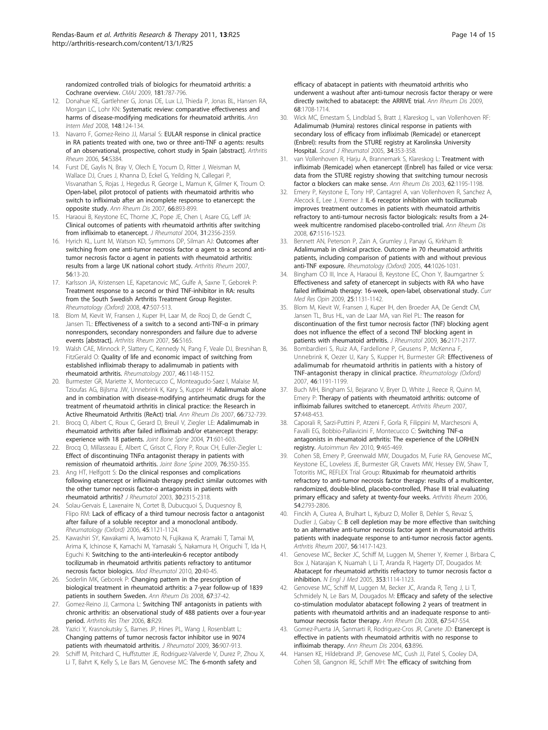<span id="page-13-0"></span>[randomized controlled trials of biologics for rheumatoid arthritis: a](http://www.ncbi.nlm.nih.gov/pubmed/19884297?dopt=Abstract) [Cochrane overview.](http://www.ncbi.nlm.nih.gov/pubmed/19884297?dopt=Abstract) CMAJ 2009, 181:787-796.

- 12. Donahue KE, Gartlehner G, Jonas DE, Lux LJ, Thieda P, Jonas BL, Hansen RA, Morgan LC, Lohr KN: [Systematic review: comparative effectiveness and](http://www.ncbi.nlm.nih.gov/pubmed/18025440?dopt=Abstract) [harms of disease-modifying medications for rheumatoid arthritis.](http://www.ncbi.nlm.nih.gov/pubmed/18025440?dopt=Abstract) Ann Intern Med 2008, 148:124-134.
- 13. Navarro F, Gomez-Reino JJ, Marsal S: EULAR response in clinical practice in RA patients treated with one, two or three anti-TNF α agents: results of an observational, prospective, cohort study in Spain [abstract]. Arthritis Rheum 2006, 54:S384.
- 14. Furst DE, Gaylis N, Bray V, Olech E, Yocum D, Ritter J, Weisman M, Wallace DJ, Crues J, Khanna D, Eckel G, Yeilding N, Callegari P, Visvanathan S, Rojas J, Hegedus R, George L, Mamun K, Gilmer K, Troum O: [Open-label, pilot protocol of patients with rheumatoid arthritis who](http://www.ncbi.nlm.nih.gov/pubmed/17412737?dopt=Abstract) [switch to infliximab after an incomplete response to etanercept: the](http://www.ncbi.nlm.nih.gov/pubmed/17412737?dopt=Abstract) [opposite study.](http://www.ncbi.nlm.nih.gov/pubmed/17412737?dopt=Abstract) Ann Rheum Dis 2007, 66:893-899.
- 15. Haraoui B, Keystone EC, Thorne JC, Pope JE, Chen I, Asare CG, Leff JA: [Clinical outcomes of patients with rheumatoid arthritis after switching](http://www.ncbi.nlm.nih.gov/pubmed/15570634?dopt=Abstract) [from infliximab to etanercept.](http://www.ncbi.nlm.nih.gov/pubmed/15570634?dopt=Abstract) J Rheumatol 2004, 31:2356-2359
- 16. Hyrich KL, Lunt M, Watson KD, Symmons DP, Silman AJ: [Outcomes after](http://www.ncbi.nlm.nih.gov/pubmed/17195186?dopt=Abstract) [switching from one anti-tumor necrosis factor](http://www.ncbi.nlm.nih.gov/pubmed/17195186?dopt=Abstract) α agent to a second antitumor necrosis factor α [agent in patients with rheumatoid arthritis:](http://www.ncbi.nlm.nih.gov/pubmed/17195186?dopt=Abstract) [results from a large UK national cohort study.](http://www.ncbi.nlm.nih.gov/pubmed/17195186?dopt=Abstract) Arthritis Rheum 2007, 56:13-20.
- 17. Karlsson JA, Kristensen LE, Kapetanovic MC, Gulfe A, Saxne T, Geborek P: [Treatment response to a second or third TNF-inhibitor in RA: results](http://www.ncbi.nlm.nih.gov/pubmed/18304941?dopt=Abstract) [from the South Swedish Arthritis Treatment Group Register.](http://www.ncbi.nlm.nih.gov/pubmed/18304941?dopt=Abstract) Rheumatology (Oxford) 2008, 47:507-513.
- 18. Blom M, Kievit W, Fransen J, Kuper IH, Laar M, de Rooj D, de Gendt C, Jansen TL: Effectiveness of a switch to a second anti-TNF-α in primary nonresponders, secondary nonresponders and failure due to adverse events [abstract]. Arthritis Rheum 2007, 56:S165.
- 19. Walsh CAE, Minnock P, Slattery C, Kennedy N, Pang F, Veale DJ, Bresnihan B, FitzGerald O: [Quality of life and economic impact of switching from](http://www.ncbi.nlm.nih.gov/pubmed/17478471?dopt=Abstract) [established infliximab therapy to adalimumab in patients with](http://www.ncbi.nlm.nih.gov/pubmed/17478471?dopt=Abstract) [rheumatoid arthritis.](http://www.ncbi.nlm.nih.gov/pubmed/17478471?dopt=Abstract) Rheumatology 2007, 46:1148-1152.
- 20. Burmester GR, Mariette X, Montecucco C, Monteagudo-Saez I, Malaise M, Tzioufas AG, Bijlsma JW, Unnebrink K, Kary S, Kupper H: [Adalimumab alone](http://www.ncbi.nlm.nih.gov/pubmed/17329305?dopt=Abstract) [and in combination with disease-modifying antirheumatic drugs for the](http://www.ncbi.nlm.nih.gov/pubmed/17329305?dopt=Abstract) [treatment of rheumatoid arthritis in clinical practice: the Research in](http://www.ncbi.nlm.nih.gov/pubmed/17329305?dopt=Abstract) [Active Rheumatoid Arthritis \(ReAct\) trial.](http://www.ncbi.nlm.nih.gov/pubmed/17329305?dopt=Abstract) Ann Rheum Dis 2007, 66:732-739.
- 21. Brocq O, Albert C, Roux C, Gerard D, Breuil V, Ziegler LE: [Adalimumab in](http://www.ncbi.nlm.nih.gov/pubmed/15589452?dopt=Abstract) [rheumatoid arthritis after failed infliximab and/or etanercept therapy:](http://www.ncbi.nlm.nih.gov/pubmed/15589452?dopt=Abstract) [experience with 18 patients.](http://www.ncbi.nlm.nih.gov/pubmed/15589452?dopt=Abstract) Joint Bone Spine 2004, 71:601-603.
- 22. Brocq O, Millasseau E, Albert C, Grisot C, Flory P, Roux CH, Euller-Ziegler L: Effect of discontinuing TNFα [antagonist therapy in patients with](http://www.ncbi.nlm.nih.gov/pubmed/19362504?dopt=Abstract) [remission of rheumatoid arthritis.](http://www.ncbi.nlm.nih.gov/pubmed/19362504?dopt=Abstract) Joint Bone Spine 2009, 76:350-355.
- 23. Ang HT, Helfgott S: [Do the clinical responses and complications](http://www.ncbi.nlm.nih.gov/pubmed/14677170?dopt=Abstract) [following etanercept or infliximab therapy predict similar outcomes with](http://www.ncbi.nlm.nih.gov/pubmed/14677170?dopt=Abstract) [the other tumor necrosis factor-](http://www.ncbi.nlm.nih.gov/pubmed/14677170?dopt=Abstract)α antagonists in patients with [rheumatoid arthritis?](http://www.ncbi.nlm.nih.gov/pubmed/14677170?dopt=Abstract) J Rheumatol 2003, 30:2315-2318.
- 24. Solau-Gervais E, Laxenaire N, Cortet B, Dubucquoi S, Duquesnoy B, Flipo RM: [Lack of efficacy of a third tumour necrosis factor](http://www.ncbi.nlm.nih.gov/pubmed/16510526?dopt=Abstract) α antagonist [after failure of a soluble receptor and a monoclonal antibody.](http://www.ncbi.nlm.nih.gov/pubmed/16510526?dopt=Abstract) Rheumatology (Oxford) 2006, 45:1121-1124.
- 25. Kawashiri SY, Kawakami A, Iwamoto N, Fujikawa K, Aramaki T, Tamai M, Arima K, Ichinose K, Kamachi M, Yamasaki S, Nakamura H, Origuchi T, Ida H, Eguchi K: [Switching to the anti-interleukin-6 receptor antibody](http://www.ncbi.nlm.nih.gov/pubmed/19802651?dopt=Abstract) [tocilizumab in rheumatoid arthritis patients refractory to antitumor](http://www.ncbi.nlm.nih.gov/pubmed/19802651?dopt=Abstract) [necrosis factor biologics.](http://www.ncbi.nlm.nih.gov/pubmed/19802651?dopt=Abstract) Mod Rheumatol 2010, 20:40-45.
- 26. Soderlin MK, Geborek P: [Changing pattern in the prescription of](http://www.ncbi.nlm.nih.gov/pubmed/19623680?dopt=Abstract) [biological treatment in rheumatoid arthritis: a 7-year follow-up of 1839](http://www.ncbi.nlm.nih.gov/pubmed/19623680?dopt=Abstract) [patients in southern Sweden.](http://www.ncbi.nlm.nih.gov/pubmed/19623680?dopt=Abstract) Ann Rheum Dis 2008, 67:37-42.
- 27. Gomez-Reino JJ, Carmona L: [Switching TNF antagonists in patients with](http://www.ncbi.nlm.nih.gov/pubmed/16507128?dopt=Abstract) [chronic arthritis: an observational study of 488 patients over a four-year](http://www.ncbi.nlm.nih.gov/pubmed/16507128?dopt=Abstract) [period.](http://www.ncbi.nlm.nih.gov/pubmed/16507128?dopt=Abstract) Arthritis Res Ther 2006, 8:R29.
- 28. Yazici Y, Krasnokutsky S, Barnes JP, Hines PL, Wang J, Rosenblatt L: [Changing patterns of tumor necrosis factor inhibitor use in 9074](http://www.ncbi.nlm.nih.gov/pubmed/19332636?dopt=Abstract) [patients with rheumatoid arthritis.](http://www.ncbi.nlm.nih.gov/pubmed/19332636?dopt=Abstract) J Rheumatol 2009, 36:907-913.
- 29. Schiff M, Pritchard C, Huffstutter JE, Rodriguez-Valverde V, Durez P, Zhou X, Li T, Bahrt K, Kelly S, Le Bars M, Genovese MC: [The 6-month safety and](http://www.ncbi.nlm.nih.gov/pubmed/19074911?dopt=Abstract)

[efficacy of abatacept in patients with rheumatoid arthritis who](http://www.ncbi.nlm.nih.gov/pubmed/19074911?dopt=Abstract) [underwent a washout after anti-tumour necrosis factor therapy or were](http://www.ncbi.nlm.nih.gov/pubmed/19074911?dopt=Abstract) [directly switched to abatacept: the ARRIVE trial.](http://www.ncbi.nlm.nih.gov/pubmed/19074911?dopt=Abstract) Ann Rheum Dis 2009, 68:1708-1714.

- 30. Wick MC, Ernestam S, Lindblad S, Bratt J, Klareskog L, van Vollenhoven RF: [Adalimumab \(Humira\) restores clinical response in patients with](http://www.ncbi.nlm.nih.gov/pubmed/16234182?dopt=Abstract) [secondary loss of efficacy from infliximab \(Remicade\) or etanercept](http://www.ncbi.nlm.nih.gov/pubmed/16234182?dopt=Abstract) [\(Enbrel\): results from the STURE registry at Karolinska University](http://www.ncbi.nlm.nih.gov/pubmed/16234182?dopt=Abstract) [Hospital.](http://www.ncbi.nlm.nih.gov/pubmed/16234182?dopt=Abstract) Scand J Rheumatol 2005, 34:353-358.
- 31. van Vollenhoven R, Harju A, Brannemark S, Klareskog L: [Treatment with](http://www.ncbi.nlm.nih.gov/pubmed/14644858?dopt=Abstract) [infliximab \(Remicade\) when etanercept \(Enbrel\) has failed or vice versa:](http://www.ncbi.nlm.nih.gov/pubmed/14644858?dopt=Abstract) [data from the STURE registry showing that switching tumour necrosis](http://www.ncbi.nlm.nih.gov/pubmed/14644858?dopt=Abstract) factor α [blockers can make sense.](http://www.ncbi.nlm.nih.gov/pubmed/14644858?dopt=Abstract) Ann Rheum Dis 2003, 62:1195-1198.
- 32. Emery P, Keystone E, Tony HP, Cantagrel A, van Vollenhoven R, Sanchez A, Alecock E, Lee J, Kremer J: [IL-6 receptor inhibition with tocilizumab](http://www.ncbi.nlm.nih.gov/pubmed/18625622?dopt=Abstract) [improves treatment outcomes in patients with rheumatoid arthritis](http://www.ncbi.nlm.nih.gov/pubmed/18625622?dopt=Abstract) [refractory to anti-tumour necrosis factor biologicals: results from a 24](http://www.ncbi.nlm.nih.gov/pubmed/18625622?dopt=Abstract) [week multicentre randomised placebo-controlled trial.](http://www.ncbi.nlm.nih.gov/pubmed/18625622?dopt=Abstract) Ann Rheum Dis 2008, 67:1516-1523.
- 33. Bennett AN, Peterson P, Zain A, Grumley J, Panayi G, Kirkham B: [Adalimumab in clinical practice. Outcome in 70 rheumatoid arthritis](http://www.ncbi.nlm.nih.gov/pubmed/15870150?dopt=Abstract) [patients, including comparison of patients with and without previous](http://www.ncbi.nlm.nih.gov/pubmed/15870150?dopt=Abstract) [anti-TNF exposure.](http://www.ncbi.nlm.nih.gov/pubmed/15870150?dopt=Abstract) Rheumatology (Oxford) 2005, 44:1026-1031.
- 34. Bingham CO III, Ince A, Haraoui B, Keystone EC, Chon Y, Baumgartner S: [Effectiveness and safety of etanercept in subjects with RA who have](http://www.ncbi.nlm.nih.gov/pubmed/19317607?dopt=Abstract) [failed infliximab therapy: 16-week, open-label, observational study.](http://www.ncbi.nlm.nih.gov/pubmed/19317607?dopt=Abstract) Curr Med Res Opin 2009, 25:1131-1142.
- 35. Blom M, Kievit W, Fransen J, Kuper IH, den Broeder AA, De Gendt CM, Jansen TL, Brus HL, van de Laar MA, van Riel PL: [The reason for](http://www.ncbi.nlm.nih.gov/pubmed/19723902?dopt=Abstract) discontinuation [of the first tumor necrosis factor \(TNF\) blocking agent](http://www.ncbi.nlm.nih.gov/pubmed/19723902?dopt=Abstract) [does not influence the effect of a second TNF blocking agent in](http://www.ncbi.nlm.nih.gov/pubmed/19723902?dopt=Abstract) [patients with rheumatoid arthritis.](http://www.ncbi.nlm.nih.gov/pubmed/19723902?dopt=Abstract) J Rheumatol 2009, 36:2171-2177.
- 36. Bombardieri S, Ruiz AA, Fardellone P, Geusens P, McKenna F, Unnebrink K, Oezer U, Kary S, Kupper H, Burmester GR: [Effectiveness of](http://www.ncbi.nlm.nih.gov/pubmed/17504821?dopt=Abstract) [adalimumab for rheumatoid arthritis in patients with a history of](http://www.ncbi.nlm.nih.gov/pubmed/17504821?dopt=Abstract) [TNF-antagonist therapy in clinical practice.](http://www.ncbi.nlm.nih.gov/pubmed/17504821?dopt=Abstract) Rheumatology (Oxford) 2007, 46:1191-1199.
- 37. Buch MH, Bingham SJ, Bejarano V, Bryer D, White J, Reece R, Quinn M, Emery P: [Therapy of patients with rheumatoid arthritis: outcome of](http://www.ncbi.nlm.nih.gov/pubmed/17394231?dopt=Abstract) [infliximab failures switched to etanercept.](http://www.ncbi.nlm.nih.gov/pubmed/17394231?dopt=Abstract) Arthritis Rheum 2007, 57:448-453.
- Caporali R, Sarzi-Puttini P, Atzeni F, Gorla R, Filippini M, Marchesoni A, Favalli EG, Bobbio-Pallavicini F, Montecucco C: [Switching TNF-](http://www.ncbi.nlm.nih.gov/pubmed/20044040?dopt=Abstract)α [antagonists in rheumatoid arthritis: The experience of the LORHEN](http://www.ncbi.nlm.nih.gov/pubmed/20044040?dopt=Abstract) [registry.](http://www.ncbi.nlm.nih.gov/pubmed/20044040?dopt=Abstract) Autoimmun Rev 2010, 9:465-469.
- 39. Cohen SB, Emery P, Greenwald MW, Dougados M, Furie RA, Genovese MC, Keystone EC, Loveless JE, Burmester GR, Cravets MW, Hessey EW, Shaw T, Totoritis MC, REFLEX Trial Group: [Rituximab for rheumatoid arthritis](http://www.ncbi.nlm.nih.gov/pubmed/16947627?dopt=Abstract) [refractory to anti-tumor necrosis factor therapy: results of a multicenter,](http://www.ncbi.nlm.nih.gov/pubmed/16947627?dopt=Abstract) [randomized, double-blind, placebo-controlled, Phase III trial evaluating](http://www.ncbi.nlm.nih.gov/pubmed/16947627?dopt=Abstract) [primary efficacy and safety at twenty-four weeks.](http://www.ncbi.nlm.nih.gov/pubmed/16947627?dopt=Abstract) Arthritis Rheum 2006, 54:2793-2806.
- 40. Finckh A, Ciurea A, Brulhart L, Kyburz D, Moller B, Dehler S, Revaz S, Dudler J, Gabay C: [B cell depletion may be more effective than switching](http://www.ncbi.nlm.nih.gov/pubmed/17469098?dopt=Abstract) [to an alternative anti-tumor necrosis factor agent in rheumatoid arthritis](http://www.ncbi.nlm.nih.gov/pubmed/17469098?dopt=Abstract) [patients with inadequate response to anti-tumor necrosis factor agents.](http://www.ncbi.nlm.nih.gov/pubmed/17469098?dopt=Abstract) Arthritis Rheum 2007, 56:1417-1423.
- 41. Genovese MC, Becker JC, Schiff M, Luggen M, Sherrer Y, Kremer J, Birbara C, Box J, Natarajan K, Nuamah I, Li T, Aranda R, Hagerty DT, Dougados M: [Abatacept for rheumatoid arthritis refractory to tumor necrosis factor](http://www.ncbi.nlm.nih.gov/pubmed/16162882?dopt=Abstract) α [inhibition.](http://www.ncbi.nlm.nih.gov/pubmed/16162882?dopt=Abstract) N Engl J Med 2005, 353:1114-1123.
- 42. Genovese MC, Schiff M, Luggen M, Becker JC, Aranda R, Teng J, Li T, Schmidely N, Le Bars M, Dougados M: [Efficacy and safety of the selective](http://www.ncbi.nlm.nih.gov/pubmed/17921185?dopt=Abstract) [co-stimulation modulator abatacept following 2 years of treatment in](http://www.ncbi.nlm.nih.gov/pubmed/17921185?dopt=Abstract) [patients with rheumatoid arthritis and an inadequate response to anti](http://www.ncbi.nlm.nih.gov/pubmed/17921185?dopt=Abstract)[tumour necrosis factor therapy.](http://www.ncbi.nlm.nih.gov/pubmed/17921185?dopt=Abstract) Ann Rheum Dis 2008, 67:547-554.
- 43. Gomez-Puerta JA, Sanmarti R, Rodriguez-Cros JR, Canete JD: [Etanercept is](http://www.ncbi.nlm.nih.gov/pubmed/15194598?dopt=Abstract) [effective in patients with rheumatoid arthritis with no response to](http://www.ncbi.nlm.nih.gov/pubmed/15194598?dopt=Abstract) [infliximab therapy.](http://www.ncbi.nlm.nih.gov/pubmed/15194598?dopt=Abstract) Ann Rheum Dis 2004, 63:896.
- 44. Hansen KE, Hildebrand JP, Genovese MC, Cush JJ, Patel S, Cooley DA, Cohen SB, Gangnon RE, Schiff MH: [The efficacy of switching from](http://www.ncbi.nlm.nih.gov/pubmed/15170921?dopt=Abstract)